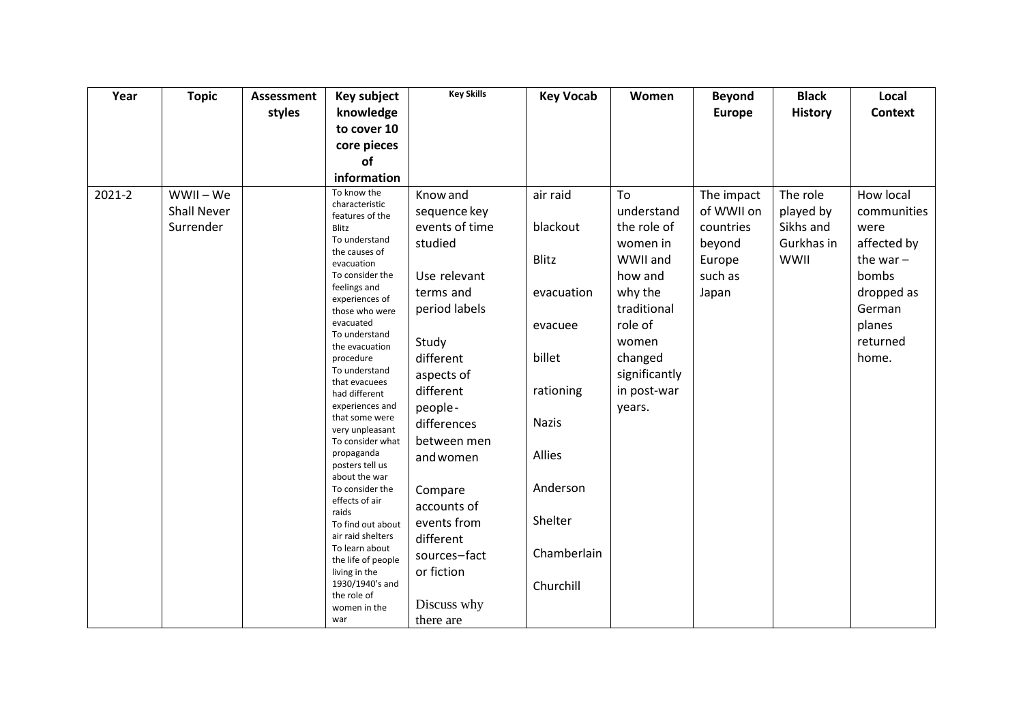| Year   | <b>Topic</b>       | Assessment | Key subject                          | <b>Key Skills</b> | <b>Key Vocab</b> | Women         | <b>Beyond</b> | <b>Black</b>   | Local          |
|--------|--------------------|------------|--------------------------------------|-------------------|------------------|---------------|---------------|----------------|----------------|
|        |                    | styles     | knowledge                            |                   |                  |               | <b>Europe</b> | <b>History</b> | <b>Context</b> |
|        |                    |            | to cover 10                          |                   |                  |               |               |                |                |
|        |                    |            | core pieces                          |                   |                  |               |               |                |                |
|        |                    |            | of                                   |                   |                  |               |               |                |                |
|        |                    |            | information                          |                   |                  |               |               |                |                |
| 2021-2 | WWII – We          |            | To know the<br>characteristic        | Know and          | air raid         | To            | The impact    | The role       | How local      |
|        | <b>Shall Never</b> |            | features of the                      | sequence key      |                  | understand    | of WWII on    | played by      | communities    |
|        | Surrender          |            | Blitz                                | events of time    | blackout         | the role of   | countries     | Sikhs and      | were           |
|        |                    |            | To understand<br>the causes of       | studied           |                  | women in      | beyond        | Gurkhas in     | affected by    |
|        |                    |            | evacuation                           |                   | <b>Blitz</b>     | WWII and      | Europe        | WWII           | the war $-$    |
|        |                    |            | To consider the                      | Use relevant      |                  | how and       | such as       |                | bombs          |
|        |                    |            | feelings and<br>experiences of       | terms and         | evacuation       | why the       | Japan         |                | dropped as     |
|        |                    |            | those who were                       | period labels     |                  | traditional   |               |                | German         |
|        |                    |            | evacuated<br>To understand           |                   | evacuee          | role of       |               |                | planes         |
|        |                    |            | the evacuation                       | Study             |                  | women         |               |                | returned       |
|        |                    |            | procedure                            | different         | billet           | changed       |               |                | home.          |
|        |                    |            | To understand<br>that evacuees       | aspects of        |                  | significantly |               |                |                |
|        |                    |            | had different                        | different         | rationing        | in post-war   |               |                |                |
|        |                    |            | experiences and                      | people-           |                  | years.        |               |                |                |
|        |                    |            | that some were<br>very unpleasant    | differences       | <b>Nazis</b>     |               |               |                |                |
|        |                    |            | To consider what                     | between men       |                  |               |               |                |                |
|        |                    |            | propaganda<br>posters tell us        | and women         | Allies           |               |               |                |                |
|        |                    |            | about the war                        |                   |                  |               |               |                |                |
|        |                    |            | To consider the                      | Compare           | Anderson         |               |               |                |                |
|        |                    |            | effects of air<br>raids              | accounts of       |                  |               |               |                |                |
|        |                    |            | To find out about                    | events from       | Shelter          |               |               |                |                |
|        |                    |            | air raid shelters                    | different         |                  |               |               |                |                |
|        |                    |            | To learn about<br>the life of people | sources-fact      | Chamberlain      |               |               |                |                |
|        |                    |            | living in the                        | or fiction        |                  |               |               |                |                |
|        |                    |            | 1930/1940's and<br>the role of       |                   | Churchill        |               |               |                |                |
|        |                    |            | women in the                         | Discuss why       |                  |               |               |                |                |
|        |                    |            | war                                  | there are         |                  |               |               |                |                |